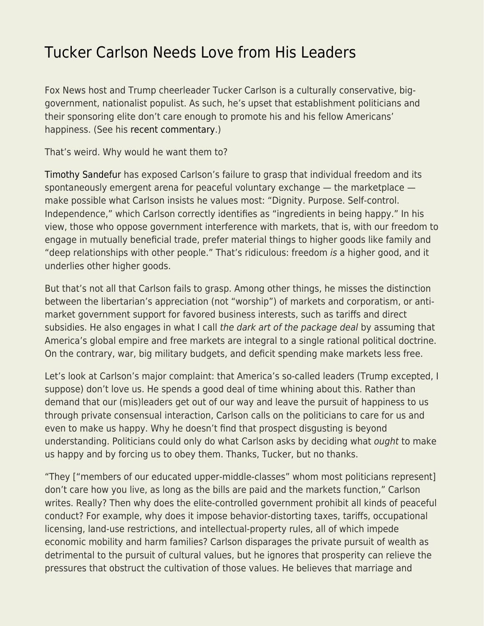## [Tucker Carlson Needs Love from His Leaders](https://everything-voluntary.com/tucker-carlson-needs-love-from-his-leaders)

Fox News host and Trump cheerleader Tucker Carlson is a culturally conservative, biggovernment, nationalist populist. As such, he's upset that establishment politicians and their sponsoring elite don't care enough to promote his and his fellow Americans' happiness. (See his [recent commentary](https://www.foxnews.com/opinion/tucker-carlson-mitt-romney-supports-the-status-quo-but-for-everyone-else-its-infuriating).)

That's weird. Why would he want them to?

[Timothy Sandefur](https://reason.com/archives/2019/01/04/tucker-carlson-thinks-the-problem-with-a) has exposed Carlson's failure to grasp that individual freedom and its spontaneously emergent arena for peaceful voluntary exchange — the marketplace make possible what Carlson insists he values most: "Dignity. Purpose. Self-control. Independence," which Carlson correctly identifies as "ingredients in being happy." In his view, those who oppose government interference with markets, that is, with our freedom to engage in mutually beneficial trade, prefer material things to higher goods like family and "deep relationships with other people." That's ridiculous: freedom is a higher good, and it underlies other higher goods.

But that's not all that Carlson fails to grasp. Among other things, he misses the distinction between the libertarian's appreciation (not "worship") of markets and corporatism, or antimarket government support for favored business interests, such as tariffs and direct subsidies. He also engages in what I call the dark art of the package deal by assuming that America's global empire and free markets are integral to a single rational political doctrine. On the contrary, war, big military budgets, and deficit spending make markets less free.

Let's look at Carlson's major complaint: that America's so-called leaders (Trump excepted, I suppose) don't love us. He spends a good deal of time whining about this. Rather than demand that our (mis)leaders get out of our way and leave the pursuit of happiness to us through private consensual interaction, Carlson calls on the politicians to care for us and even to make us happy. Why he doesn't find that prospect disgusting is beyond understanding. Politicians could only do what Carlson asks by deciding what ought to make us happy and by forcing us to obey them. Thanks, Tucker, but no thanks.

"They ["members of our educated upper-middle-classes" whom most politicians represent] don't care how you live, as long as the bills are paid and the markets function," Carlson writes. Really? Then why does the elite-controlled government prohibit all kinds of peaceful conduct? For example, why does it impose behavior-distorting taxes, tariffs, occupational licensing, land-use restrictions, and intellectual-property rules, all of which impede economic mobility and harm families? Carlson disparages the private pursuit of wealth as detrimental to the pursuit of cultural values, but he ignores that prosperity can relieve the pressures that obstruct the cultivation of those values. He believes that marriage and